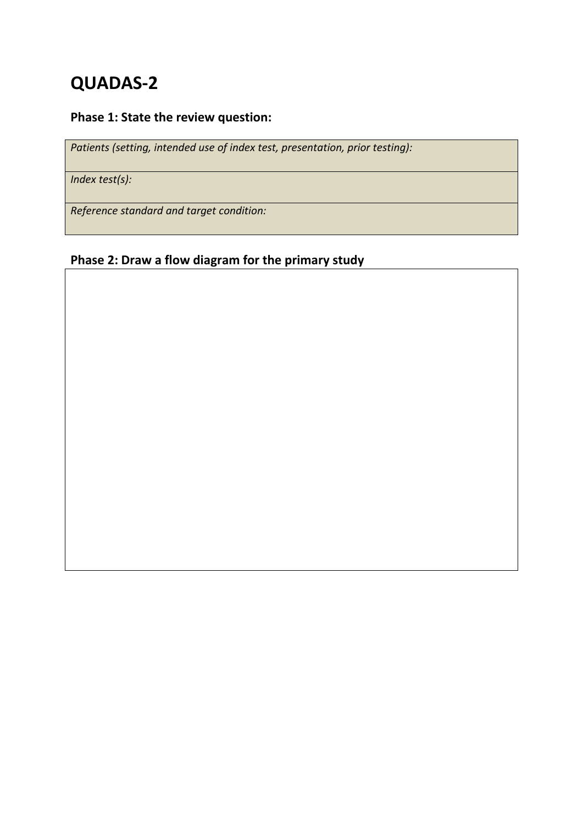# **QUADAS-2**

# **Phase 1: State the review question:**

*Patients (setting, intended use of index test, presentation, prior testing):*

*Index test(s):*

*Reference standard and target condition:*

# **Phase 2: Draw a flow diagram for the primary study**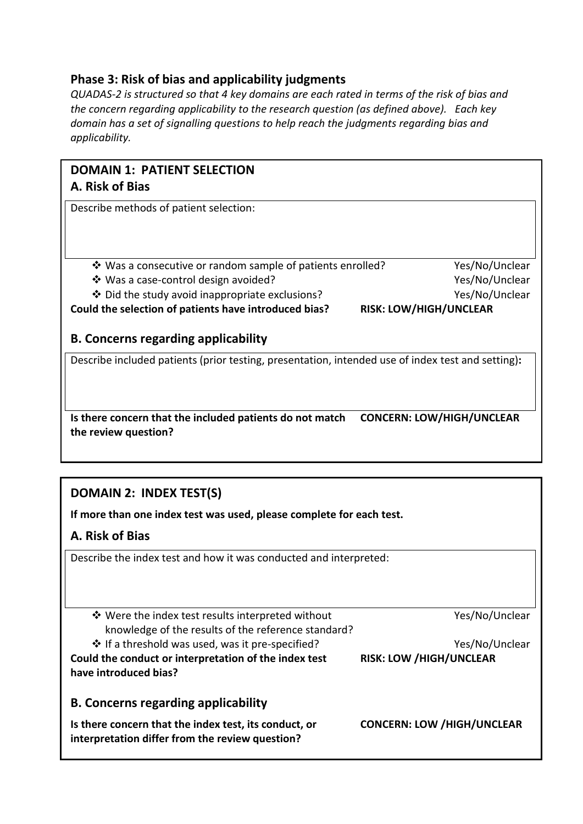# **Phase 3: Risk of bias and applicability judgments**

*QUADAS-2 is structured so that 4 key domains are each rated in terms of the risk of bias and the concern regarding applicability to the research question (as defined above). Each key domain has a set of signalling questions to help reach the judgments regarding bias and applicability.* 

## **DOMAIN 1: PATIENT SELECTION A. Risk of Bias**

Describe methods of patient selection:

- Was a consecutive or random sample of patients enrolled? Yes/No/Unclear
- Was a case-control design avoided? Yes/No/Unclear
- Did the study avoid inappropriate exclusions? Yes/No/Unclear

**Could the selection of patients have introduced bias? RISK: LOW/HIGH/UNCLEAR**

## **B. Concerns regarding applicability**

Describe included patients (prior testing, presentation, intended use of index test and setting)**:**

**Is there concern that the included patients do not match CONCERN: LOW/HIGH/UNCLEAR the review question?**

# **DOMAIN 2: INDEX TEST(S)**

**If more than one index test was used, please complete for each test.** 

#### **A. Risk of Bias**

Describe the index test and how it was conducted and interpreted:

 Were the index test results interpreted without knowledge of the results of the reference standard?

If a threshold was used, was it pre-specified? Yes/No/Unclear

**Could the conduct or interpretation of the index test have introduced bias?**

**RISK: LOW /HIGH/UNCLEAR**

Yes/No/Unclear

**CONCERN: LOW /HIGH/UNCLEAR**

**Is there concern that the index test, its conduct, or interpretation differ from the review question?**

**B. Concerns regarding applicability**